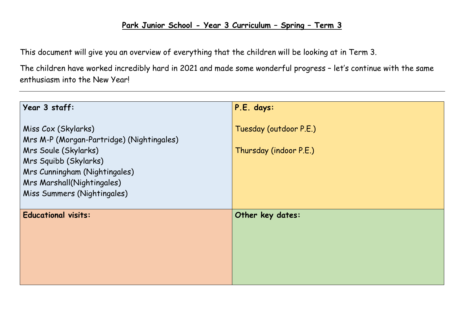## **Park Junior School - Year 3 Curriculum – Spring – Term 3**

This document will give you an overview of everything that the children will be looking at in Term 3.

The children have worked incredibly hard in 2021 and made some wonderful progress – let's continue with the same enthusiasm into the New Year!

| Year 3 staff:                                                                                                                                                                                                          | P.E. days:                                       |
|------------------------------------------------------------------------------------------------------------------------------------------------------------------------------------------------------------------------|--------------------------------------------------|
| Miss Cox (Skylarks)<br>Mrs M-P (Morgan-Partridge) (Nightingales)<br><b>Mrs Soule (Skylarks)</b><br>Mrs Squibb (Skylarks)<br>Mrs Cunningham (Nightingales)<br>Mrs Marshall(Nightingales)<br>Miss Summers (Nightingales) | Tuesday (outdoor P.E.)<br>Thursday (indoor P.E.) |
| <b>Educational visits:</b>                                                                                                                                                                                             | Other key dates:                                 |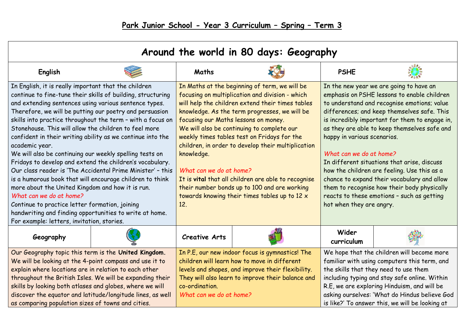| Around the world in 80 days: Geography                                                                                                                                                                                                                                                                                                                                                                                                                                                                                                                                                                                                                                                                                                                                                                                                                                                                                                    |  |                                                                                                                                                                                                                                                                                                                                                                                                                                                                                                                                                                                                          |  |                                                                                                                                                                                                                                                                                                                                                                                                                                                                                                                                                                                                                        |  |  |
|-------------------------------------------------------------------------------------------------------------------------------------------------------------------------------------------------------------------------------------------------------------------------------------------------------------------------------------------------------------------------------------------------------------------------------------------------------------------------------------------------------------------------------------------------------------------------------------------------------------------------------------------------------------------------------------------------------------------------------------------------------------------------------------------------------------------------------------------------------------------------------------------------------------------------------------------|--|----------------------------------------------------------------------------------------------------------------------------------------------------------------------------------------------------------------------------------------------------------------------------------------------------------------------------------------------------------------------------------------------------------------------------------------------------------------------------------------------------------------------------------------------------------------------------------------------------------|--|------------------------------------------------------------------------------------------------------------------------------------------------------------------------------------------------------------------------------------------------------------------------------------------------------------------------------------------------------------------------------------------------------------------------------------------------------------------------------------------------------------------------------------------------------------------------------------------------------------------------|--|--|
| English                                                                                                                                                                                                                                                                                                                                                                                                                                                                                                                                                                                                                                                                                                                                                                                                                                                                                                                                   |  | Maths                                                                                                                                                                                                                                                                                                                                                                                                                                                                                                                                                                                                    |  | <b>PSHE</b>                                                                                                                                                                                                                                                                                                                                                                                                                                                                                                                                                                                                            |  |  |
| In English, it is really important that the children<br>continue to fine-tune their skills of building, structuring<br>and extending sentences using various sentence types.<br>Therefore, we will be putting our poetry and persuasion<br>skills into practice throughout the term - with a focus on<br>Stonehouse. This will allow the children to feel more<br>confident in their writing ability as we continue into the<br>academic year.<br>We will also be continuing our weekly spelling tests on<br>Fridays to develop and extend the children's vocabulary.<br>Our class reader is 'The Accidental Prime Minister' - this<br>is a humorous book that will encourage children to think<br>more about the United Kingdom and how it is run.<br>What can we do at home?<br>Continue to practice letter formation, joining<br>handwriting and finding opportunities to write at home.<br>For example: letters, invitation, stories. |  | In Maths at the beginning of term, we will be<br>focusing on multiplication and division - which<br>will help the children extend their times tables<br>knowledge. As the term progresses, we will be<br>focusing our Maths lessons on money.<br>We will also be continuing to complete our<br>weekly times tables test on Fridays for the<br>children, in order to develop their multiplication<br>knowledge.<br>What can we do at home?<br>It is vital that all children are able to recognise<br>their number bonds up to 100 and are working<br>towards knowing their times tables up to 12 x<br>12. |  | In the new year we are going to have an<br>emphasis on PSHE lessons to enable children<br>to understand and recognise emotions; value<br>differences; and keep themselves safe. This<br>is incredibly important for them to engage in,<br>as they are able to keep themselves safe and<br>happy in various scenarios.<br>What can we do at home?<br>In different situations that arise, discuss<br>how the children are feeling. Use this as a<br>chance to expand their vocabulary and allow<br>them to recognise how their body physically<br>reacts to these emotions - such as getting<br>hot when they are angry. |  |  |
| Geography                                                                                                                                                                                                                                                                                                                                                                                                                                                                                                                                                                                                                                                                                                                                                                                                                                                                                                                                 |  | <b>Creative Arts</b>                                                                                                                                                                                                                                                                                                                                                                                                                                                                                                                                                                                     |  | Wider<br>curriculum                                                                                                                                                                                                                                                                                                                                                                                                                                                                                                                                                                                                    |  |  |
| Our Geography topic this term is the United Kingdom.<br>We will be looking at the 4-point compass and use it to<br>explain where locations are in relation to each other<br>throughout the British Isles. We will be expanding their<br>skills by looking both atlases and globes, where we will<br>discover the equator and latitude/longitude lines, as well<br>as comparing population sizes of towns and cities.                                                                                                                                                                                                                                                                                                                                                                                                                                                                                                                      |  | In P.E, our new indoor focus is gymnastics! The<br>children will learn how to move in different<br>levels and shapes, and improve their flexibility.<br>They will also learn to improve their balance and<br>co-ordination.<br>What can we do at home?                                                                                                                                                                                                                                                                                                                                                   |  | We hope that the children will become more<br>familiar with using computers this term, and<br>the skills that they need to use them<br>including typing and stay safe online. Within<br>R.E, we are exploring Hinduism, and will be<br>asking ourselves: 'What do Hindus believe God<br>is like?' To answer this, we will be looking at                                                                                                                                                                                                                                                                                |  |  |